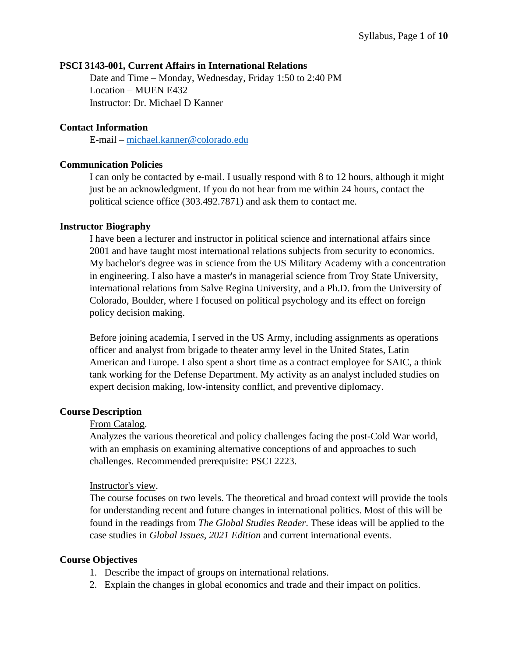### **PSCI 3143-001, Current Affairs in International Relations**

Date and Time – Monday, Wednesday, Friday 1:50 to 2:40 PM Location – MUEN E432 Instructor: Dr. Michael D Kanner

#### **Contact Information**

E-mail – [michael.kanner@colorado.edu](mailto:michael.kanner@colorado.edu)

#### **Communication Policies**

I can only be contacted by e-mail. I usually respond with 8 to 12 hours, although it might just be an acknowledgment. If you do not hear from me within 24 hours, contact the political science office (303.492.7871) and ask them to contact me.

#### **Instructor Biography**

I have been a lecturer and instructor in political science and international affairs since 2001 and have taught most international relations subjects from security to economics. My bachelor's degree was in science from the US Military Academy with a concentration in engineering. I also have a master's in managerial science from Troy State University, international relations from Salve Regina University, and a Ph.D. from the University of Colorado, Boulder, where I focused on political psychology and its effect on foreign policy decision making.

Before joining academia, I served in the US Army, including assignments as operations officer and analyst from brigade to theater army level in the United States, Latin American and Europe. I also spent a short time as a contract employee for SAIC, a think tank working for the Defense Department. My activity as an analyst included studies on expert decision making, low-intensity conflict, and preventive diplomacy.

## **Course Description**

### From Catalog.

Analyzes the various theoretical and policy challenges facing the post-Cold War world, with an emphasis on examining alternative conceptions of and approaches to such challenges. Recommended prerequisite: PSCI 2223.

#### Instructor's view.

The course focuses on two levels. The theoretical and broad context will provide the tools for understanding recent and future changes in international politics. Most of this will be found in the readings from *The Global Studies Reader*. These ideas will be applied to the case studies in *Global Issues, 2021 Edition* and current international events.

## **Course Objectives**

- 1. Describe the impact of groups on international relations.
- 2. Explain the changes in global economics and trade and their impact on politics.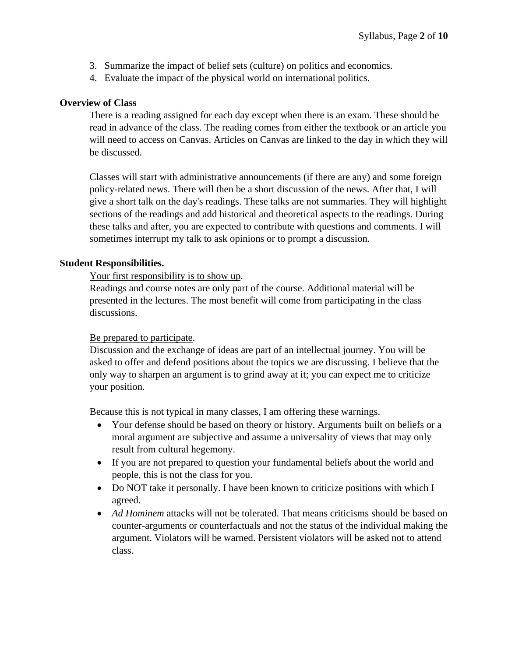- 3. Summarize the impact of belief sets (culture) on politics and economics.
- 4. Evaluate the impact of the physical world on international politics.

## **Overview of Class**

There is a reading assigned for each day except when there is an exam. These should be read in advance of the class. The reading comes from either the textbook or an article you will need to access on Canvas. Articles on Canvas are linked to the day in which they will be discussed.

Classes will start with administrative announcements (if there are any) and some foreign policy-related news. There will then be a short discussion of the news. After that, I will give a short talk on the day's readings. These talks are not summaries. They will highlight sections of the readings and add historical and theoretical aspects to the readings. During these talks and after, you are expected to contribute with questions and comments. I will sometimes interrupt my talk to ask opinions or to prompt a discussion.

## **Student Responsibilities.**

Your first responsibility is to show up.

Readings and course notes are only part of the course. Additional material will be presented in the lectures. The most benefit will come from participating in the class discussions.

## Be prepared to participate.

Discussion and the exchange of ideas are part of an intellectual journey. You will be asked to offer and defend positions about the topics we are discussing. I believe that the only way to sharpen an argument is to grind away at it; you can expect me to criticize your position.

Because this is not typical in many classes, I am offering these warnings.

- Your defense should be based on theory or history. Arguments built on beliefs or a moral argument are subjective and assume a universality of views that may only result from cultural hegemony.
- If you are not prepared to question your fundamental beliefs about the world and people, this is not the class for you.
- Do NOT take it personally. I have been known to criticize positions with which I agreed.
- *Ad Hominem* attacks will not be tolerated. That means criticisms should be based on counter-arguments or counterfactuals and not the status of the individual making the argument. Violators will be warned. Persistent violators will be asked not to attend class.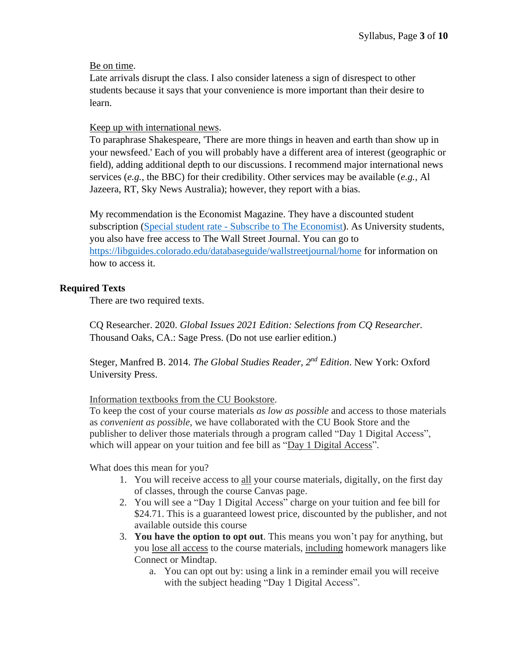## Be on time.

Late arrivals disrupt the class. I also consider lateness a sign of disrespect to other students because it says that your convenience is more important than their desire to learn.

## Keep up with international news.

To paraphrase Shakespeare, 'There are more things in heaven and earth than show up in your newsfeed.' Each of you will probably have a different area of interest (geographic or field), adding additional depth to our discussions. I recommend major international news services (*e.g.*, the BBC) for their credibility. Other services may be available (*e.g.,* Al Jazeera, RT, Sky News Australia); however, they report with a bias.

My recommendation is the Economist Magazine. They have a discounted student subscription (Special student rate - [Subscribe to The Economist\)](https://subscribenow.economist.com/na-us/student/). As University students, you also have free access to The Wall Street Journal. You can go to <https://libguides.colorado.edu/databaseguide/wallstreetjournal/home> for information on how to access it.

## **Required Texts**

There are two required texts.

CQ Researcher. 2020. *Global Issues 2021 Edition: Selections from CQ Researcher.* Thousand Oaks, CA.: Sage Press. (Do not use earlier edition.)

Steger, Manfred B. 2014. *The Global Studies Reader, 2nd Edition*. New York: Oxford University Press.

## Information textbooks from the CU Bookstore.

To keep the cost of your course materials *as low as possible* and access to those materials as *convenient as possible*, we have collaborated with the CU Book Store and the publisher to deliver those materials through a program called "Day 1 Digital Access", which will appear on your tuition and fee bill as "Day 1 Digital Access".

What does this mean for you?

- 1. You will receive access to all your course materials, digitally, on the first day of classes, through the course Canvas page.
- 2. You will see a "Day 1 Digital Access" charge on your tuition and fee bill for \$24.71. This is a guaranteed lowest price, discounted by the publisher, and not available outside this course
- 3. **You have the option to opt out**. This means you won't pay for anything, but you lose all access to the course materials, including homework managers like Connect or Mindtap.
	- a. You can opt out by: using a link in a reminder email you will receive with the subject heading "Day 1 Digital Access".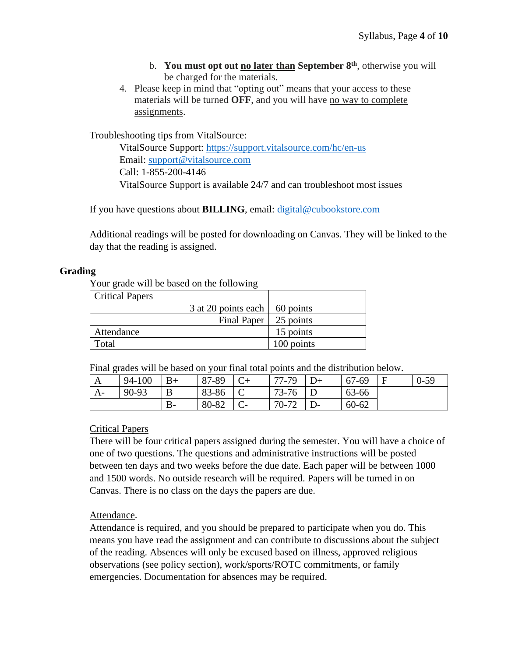- b. **You must opt out no later than September 8 th** , otherwise you will be charged for the materials.
- 4. Please keep in mind that "opting out" means that your access to these materials will be turned **OFF**, and you will have no way to complete assignments.

Troubleshooting tips from VitalSource:

VitalSource Support: <https://support.vitalsource.com/hc/en-us> Email: [support@vitalsource.com](mailto:support@vitalsource.com) Call: 1-855-200-4146 VitalSource Support is available 24/7 and can troubleshoot most issues

If you have questions about **BILLING**, email: [digital@cubookstore.com](mailto:digital@cubookstore.com)

Additional readings will be posted for downloading on Canvas. They will be linked to the day that the reading is assigned.

## **Grading**

Your grade will be based on the following –

| <b>Critical Papers</b> |                                       |            |
|------------------------|---------------------------------------|------------|
|                        | 3 at 20 points each $\vert$ 60 points |            |
|                        | Final Paper                           | 25 points  |
| Attendance             |                                       | 15 points  |
| Total                  |                                       | 100 points |

Final grades will be based on your final total points and the distribution below.

| --   |        |      |       |       |           |          |
|------|--------|------|-------|-------|-----------|----------|
| A    | 94-100 | $B+$ | 87-89 | 77-79 | 67-69     | $0 - 59$ |
| $A-$ | 90-93  | B    | 83-86 | 73-76 | 63-66     |          |
|      |        | В-   | 80-82 | 70-72 | $60 - 62$ |          |

## Critical Papers

There will be four critical papers assigned during the semester. You will have a choice of one of two questions. The questions and administrative instructions will be posted between ten days and two weeks before the due date. Each paper will be between 1000 and 1500 words. No outside research will be required. Papers will be turned in on Canvas. There is no class on the days the papers are due.

## Attendance.

Attendance is required, and you should be prepared to participate when you do. This means you have read the assignment and can contribute to discussions about the subject of the reading. Absences will only be excused based on illness, approved religious observations (see policy section), work/sports/ROTC commitments, or family emergencies. Documentation for absences may be required.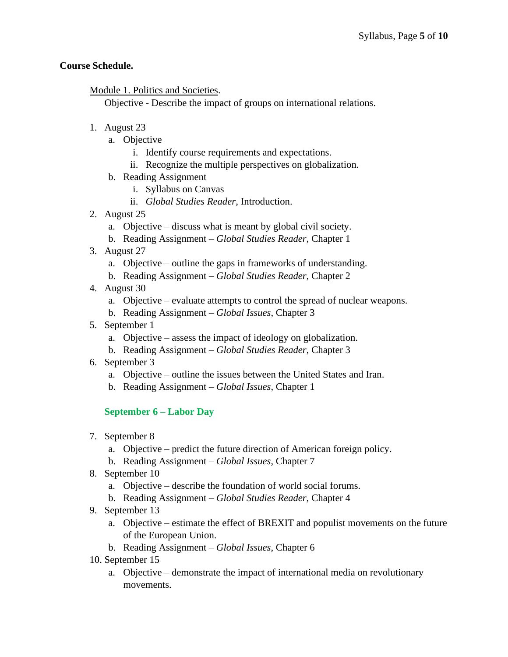## **Course Schedule.**

Module 1. Politics and Societies.

Objective - Describe the impact of groups on international relations.

- 1. August 23
	- a. Objective
		- i. Identify course requirements and expectations.
		- ii. Recognize the multiple perspectives on globalization.
	- b. Reading Assignment
		- i. Syllabus on Canvas
		- ii. *Global Studies Reader*, Introduction.
- 2. August 25
	- a. Objective discuss what is meant by global civil society.
	- b. Reading Assignment *Global Studies Reader*, Chapter 1
- 3. August 27
	- a. Objective outline the gaps in frameworks of understanding.
	- b. Reading Assignment *Global Studies Reader*, Chapter 2
- 4. August 30
	- a. Objective evaluate attempts to control the spread of nuclear weapons.
	- b. Reading Assignment *Global Issues*, Chapter 3
- 5. September 1
	- a. Objective assess the impact of ideology on globalization.
	- b. Reading Assignment *Global Studies Reader*, Chapter 3
- 6. September 3
	- a. Objective outline the issues between the United States and Iran.
	- b. Reading Assignment *Global Issues*, Chapter 1

**September 6 – Labor Day**

- 7. September 8
	- a. Objective predict the future direction of American foreign policy.
	- b. Reading Assignment *Global Issues*, Chapter 7
- 8. September 10
	- a. Objective describe the foundation of world social forums.
	- b. Reading Assignment *Global Studies Reader*, Chapter 4
- 9. September 13
	- a. Objective estimate the effect of BREXIT and populist movements on the future of the European Union.
	- b. Reading Assignment *Global Issues*, Chapter 6
- 10. September 15
	- a. Objective demonstrate the impact of international media on revolutionary movements.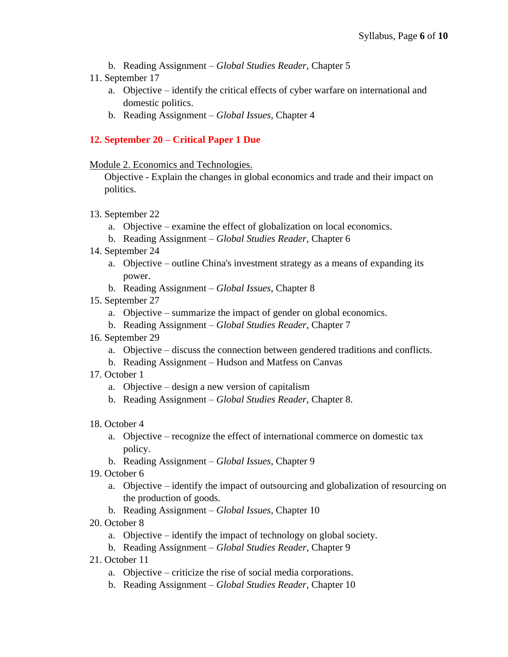- b. Reading Assignment *Global Studies Reader*, Chapter 5
- 11. September 17
	- a. Objective identify the critical effects of cyber warfare on international and domestic politics.
	- b. Reading Assignment *Global Issues*, Chapter 4

# **12. September 20 – Critical Paper 1 Due**

Module 2. Economics and Technologies.

Objective - Explain the changes in global economics and trade and their impact on politics.

- 13. September 22
	- a. Objective examine the effect of globalization on local economics.
	- b. Reading Assignment *Global Studies Reader*, Chapter 6
- 14. September 24
	- a. Objective outline China's investment strategy as a means of expanding its power.
	- b. Reading Assignment *Global Issues*, Chapter 8
- 15. September 27
	- a. Objective summarize the impact of gender on global economics.
	- b. Reading Assignment *Global Studies Reader*, Chapter 7
- 16. September 29
	- a. Objective discuss the connection between gendered traditions and conflicts.
	- b. Reading Assignment Hudson and Matfess on Canvas
- 17. October 1
	- a. Objective design a new version of capitalism
	- b. Reading Assignment *Global Studies Reader*, Chapter 8.
- 18. October 4
	- a. Objective recognize the effect of international commerce on domestic tax policy.
	- b. Reading Assignment *Global Issues*, Chapter 9
- 19. October 6
	- a. Objective identify the impact of outsourcing and globalization of resourcing on the production of goods.
	- b. Reading Assignment *Global Issues*, Chapter 10
- 20. October 8
	- a. Objective identify the impact of technology on global society.
	- b. Reading Assignment *Global Studies Reader*, Chapter 9
- 21. October 11
	- a. Objective criticize the rise of social media corporations.
	- b. Reading Assignment *Global Studies Reader*, Chapter 10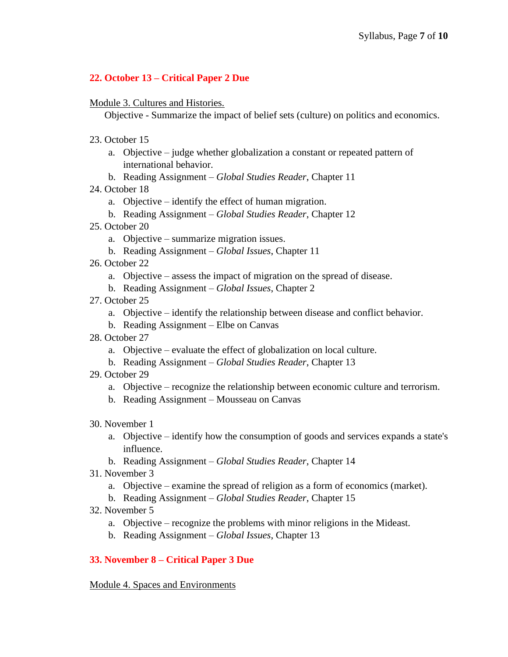# **22. October 13 – Critical Paper 2 Due**

Module 3. Cultures and Histories.

Objective - Summarize the impact of belief sets (culture) on politics and economics.

- 23. October 15
	- a. Objective judge whether globalization a constant or repeated pattern of international behavior.
	- b. Reading Assignment *Global Studies Reader*, Chapter 11
- 24. October 18
	- a. Objective identify the effect of human migration.
	- b. Reading Assignment *Global Studies Reader*, Chapter 12
- 25. October 20
	- a. Objective summarize migration issues.
	- b. Reading Assignment *Global Issues*, Chapter 11
- 26. October 22
	- a. Objective assess the impact of migration on the spread of disease.
	- b. Reading Assignment *Global Issues*, Chapter 2
- 27. October 25
	- a. Objective identify the relationship between disease and conflict behavior.
	- b. Reading Assignment Elbe on Canvas
- 28. October 27
	- a. Objective evaluate the effect of globalization on local culture.
	- b. Reading Assignment *Global Studies Reader*, Chapter 13
- 29. October 29
	- a. Objective recognize the relationship between economic culture and terrorism.
	- b. Reading Assignment Mousseau on Canvas
- 30. November 1
	- a. Objective identify how the consumption of goods and services expands a state's influence.
	- b. Reading Assignment *Global Studies Reader*, Chapter 14
- 31. November 3
	- a. Objective examine the spread of religion as a form of economics (market).
	- b. Reading Assignment *Global Studies Reader*, Chapter 15
- 32. November 5
	- a. Objective recognize the problems with minor religions in the Mideast.
	- b. Reading Assignment *Global Issues*, Chapter 13

# **33. November 8 – Critical Paper 3 Due**

Module 4. Spaces and Environments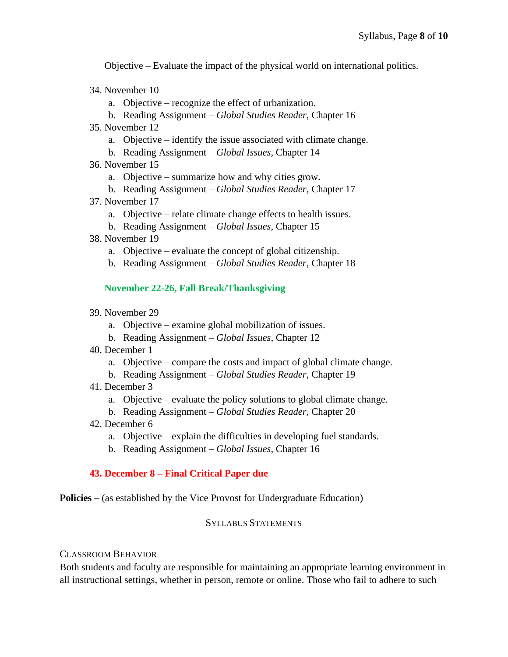Objective – Evaluate the impact of the physical world on international politics.

- 34. November 10
	- a. Objective recognize the effect of urbanization.
	- b. Reading Assignment *Global Studies Reader*, Chapter 16
- 35. November 12
	- a. Objective identify the issue associated with climate change.
	- b. Reading Assignment *Global Issues*, Chapter 14
- 36. November 15
	- a. Objective summarize how and why cities grow.
	- b. Reading Assignment *Global Studies Reader*, Chapter 17
- 37. November 17
	- a. Objective relate climate change effects to health issues.
	- b. Reading Assignment *Global Issues*, Chapter 15
- 38. November 19
	- a. Objective evaluate the concept of global citizenship.
	- b. Reading Assignment *Global Studies Reader*, Chapter 18

## **November 22-26, Fall Break/Thanksgiving**

- 39. November 29
	- a. Objective examine global mobilization of issues.
	- b. Reading Assignment *Global Issues*, Chapter 12
- 40. December 1
	- a. Objective compare the costs and impact of global climate change.
	- b. Reading Assignment *Global Studies Reader*, Chapter 19
- 41. December 3
	- a. Objective evaluate the policy solutions to global climate change.
	- b. Reading Assignment *Global Studies Reader*, Chapter 20
- 42. December 6
	- a. Objective explain the difficulties in developing fuel standards.
	- b. Reading Assignment *Global Issues*, Chapter 16

## **43. December 8 – Final Critical Paper due**

**Policies –** (as established by the Vice Provost for Undergraduate Education)

#### SYLLABUS STATEMENTS

## CLASSROOM BEHAVIOR

Both students and faculty are responsible for maintaining an appropriate learning environment in all instructional settings, whether in person, remote or online. Those who fail to adhere to such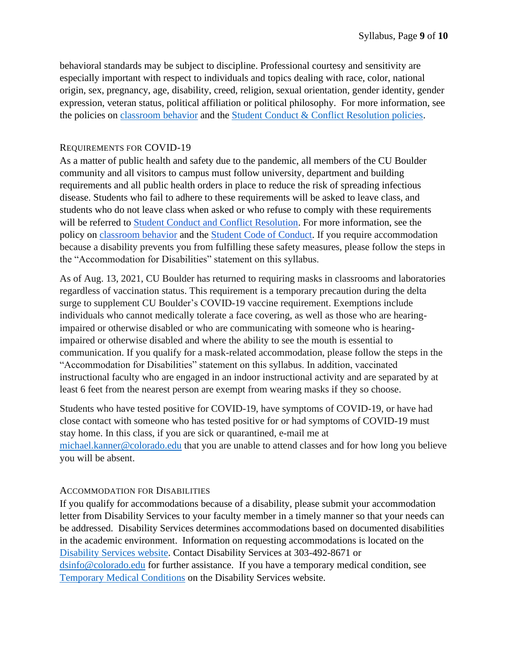behavioral standards may be subject to discipline. Professional courtesy and sensitivity are especially important with respect to individuals and topics dealing with race, color, national origin, sex, pregnancy, age, disability, creed, religion, sexual orientation, gender identity, gender expression, veteran status, political affiliation or political philosophy. For more information, see the policies on [classroom behavior](http://www.colorado.edu/policies/student-classroom-and-course-related-behavior) and the [Student Conduct & Conflict Resolution policies.](https://www.colorado.edu/sccr/student-conduct)

## REQUIREMENTS FOR COVID-19

As a matter of public health and safety due to the pandemic, all members of the CU Boulder community and all visitors to campus must follow university, department and building requirements and all public health orders in place to reduce the risk of spreading infectious disease. Students who fail to adhere to these requirements will be asked to leave class, and students who do not leave class when asked or who refuse to comply with these requirements will be referred to [Student Conduct and Conflict Resolution.](https://www.colorado.edu/sccr/) For more information, see the policy o[n](https://www.colorado.edu/policies/covid-19-health-and-safety-policy) [classroom behavior](http://www.colorado.edu/policies/student-classroom-and-course-related-behavior) and th[e](http://www.colorado.edu/osccr/) [Student Code of Conduct.](http://www.colorado.edu/osccr/) If you require accommodation because a disability prevents you from fulfilling these safety measures, please follow the steps in the "Accommodation for Disabilities" statement on this syllabus.

As of Aug. 13, 2021, CU Boulder has returned to requiring masks in classrooms and laboratories regardless of vaccination status. This requirement is a temporary precaution during the delta surge to supplement CU Boulder's COVID-19 vaccine requirement. Exemptions include individuals who cannot medically tolerate a face covering, as well as those who are hearingimpaired or otherwise disabled or who are communicating with someone who is hearingimpaired or otherwise disabled and where the ability to see the mouth is essential to communication. If you qualify for a mask-related accommodation, please follow the steps in the "Accommodation for Disabilities" statement on this syllabus. In addition, vaccinated instructional faculty who are engaged in an indoor instructional activity and are separated by at least 6 feet from the nearest person are exempt from wearing masks if they so choose.

Students who have tested positive for COVID-19, have symptoms of COVID-19, or have had close contact with someone who has tested positive for or had symptoms of COVID-19 must stay home. In this class, if you are sick or quarantined, e-mail me at [michael.kanner@colorado.edu](mailto:michael.kanner@colorado.edu) that you are unable to attend classes and for how long you believe you will be absent.

## ACCOMMODATION FOR DISABILITIES

If you qualify for accommodations because of a disability, please submit your accommodation letter from Disability Services to your faculty member in a timely manner so that your needs can be addressed. Disability Services determines accommodations based on documented disabilities in the academic environment. Information on requesting accommodations is located on the [Disability Services website.](https://www.colorado.edu/disabilityservices/) Contact Disability Services at 303-492-8671 or [dsinfo@colorado.edu](mailto:dsinfo@colorado.edu) for further assistance. If you have a temporary medical condition, see [Temporary Medical Conditions](http://www.colorado.edu/disabilityservices/students/temporary-medical-conditions) on the Disability Services website.